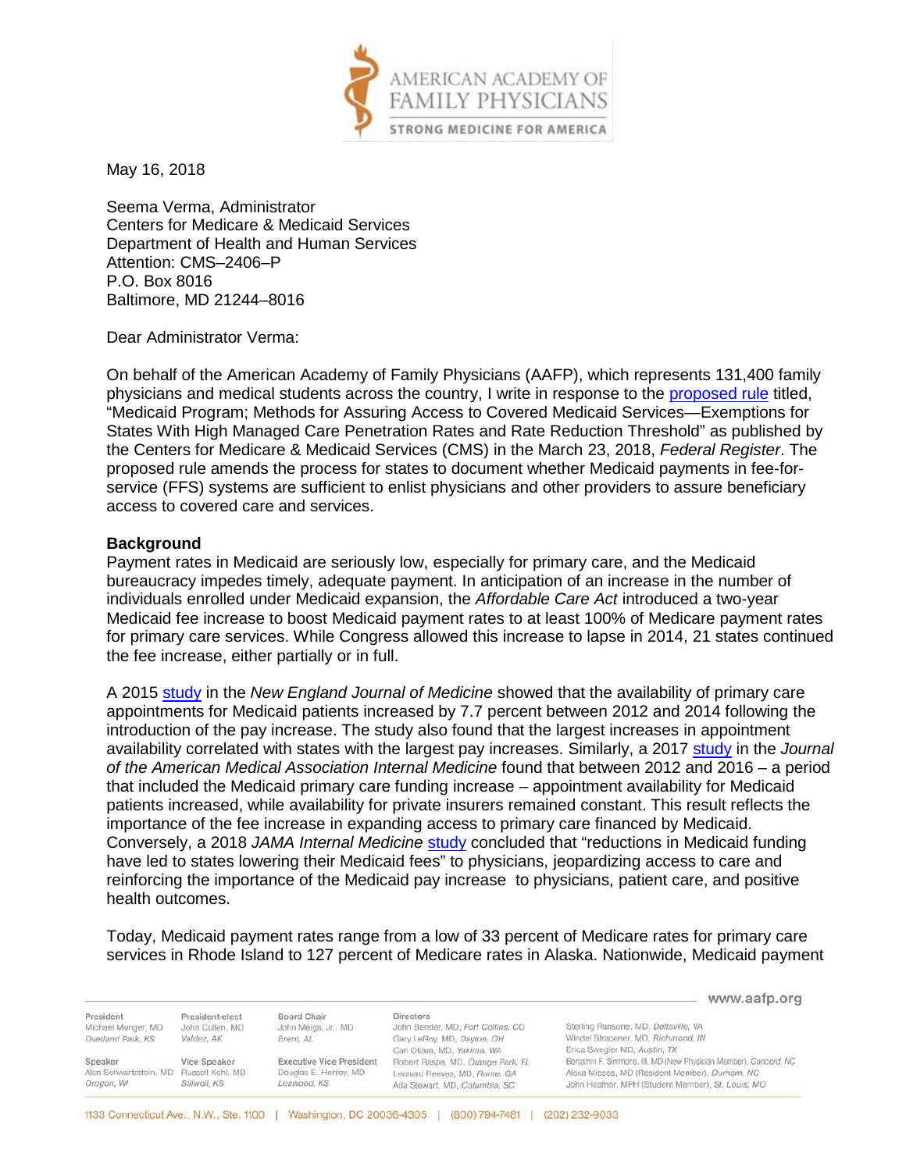

May 16, 2018

Seema Verma, Administrator Centers for Medicare & Medicaid Services Department of Health and Human Services Attention: CMS–2406–P P.O. Box 8016 Baltimore, MD 21244–8016

Dear Administrator Verma:

On behalf of the American Academy of Family Physicians (AAFP), which represents 131,400 family physicians and medical students across the country, I write in response to the [proposed rule](https://www.gpo.gov/fdsys/pkg/FR-2018-03-23/pdf/2018-05898.pdf) titled, "Medicaid Program; Methods for Assuring Access to Covered Medicaid Services—Exemptions for States With High Managed Care Penetration Rates and Rate Reduction Threshold" as published by the Centers for Medicare & Medicaid Services (CMS) in the March 23, 2018, *Federal Register*. The proposed rule amends the process for states to document whether Medicaid payments in fee-forservice (FFS) systems are sufficient to enlist physicians and other providers to assure beneficiary access to covered care and services.

## **Background**

Payment rates in Medicaid are seriously low, especially for primary care, and the Medicaid bureaucracy impedes timely, adequate payment. In anticipation of an increase in the number of individuals enrolled under Medicaid expansion, the *Affordable Care Act* introduced a two-year Medicaid fee increase to boost Medicaid payment rates to at least 100% of Medicare payment rates for primary care services. While Congress allowed this increase to lapse in 2014, 21 states continued the fee increase, either partially or in full.

A 2015 [study](https://www.nejm.org/doi/full/10.1056/NEJMsa1413299) in the *New England Journal of Medicine* showed that the availability of primary care appointments for Medicaid patients increased by 7.7 percent between 2012 and 2014 following the introduction of the pay increase. The study also found that the largest increases in appointment availability correlated with states with the largest pay increases. Similarly, a 2017 [study](https://jamanetwork.com/journals/jamainternalmedicine/article-abstract/2605525?redirect=true) in the *Journal of the American Medical Association Internal Medicine* found that between 2012 and 2016 – a period that included the Medicaid primary care funding increase – appointment availability for Medicaid patients increased, while availability for private insurers remained constant. This result reflects the importance of the fee increase in expanding access to primary care financed by Medicaid. Conversely, a 2018 *JAMA Internal Medicine* [study](https://jamanetwork.com/journals/jamainternalmedicine/article-abstract/2663253?redirect=true) concluded that "reductions in Medicaid funding have led to states lowering their Medicaid fees" to physicians, jeopardizing access to care and reinforcing the importance of the Medicaid pay increase to physicians, patient care, and positive health outcomes.

Today, Medicaid payment rates range from a low of 33 percent of Medicare rates for primary care services in Rhode Island to 127 percent of Medicare rates in Alaska. Nationwide, Medicaid payment

|                                                                  |                                    |                                                                  |                                                                                                    | www.aafp.org                                                                                                                                                            |
|------------------------------------------------------------------|------------------------------------|------------------------------------------------------------------|----------------------------------------------------------------------------------------------------|-------------------------------------------------------------------------------------------------------------------------------------------------------------------------|
| President<br>Michael Munger, MD                                  | President-elect<br>John Cullen, MD | Board Chair<br>John Meigs, Jr., MD                               | <b>Directors</b><br>John Bender, MD, Fort Collins, CO                                              | Sterling Ransone, MD, Deltaville, VA                                                                                                                                    |
| Overland Park, KS                                                | Valdez, AK                         | Brent, AL                                                        | Gary LeRoy, MD, Dayton, OH<br>Carl Olden, MD, Yakima, WA                                           | Windel Stracener, MD, Richmond, IN<br>Erica Swegler MD, Austin, TX                                                                                                      |
| Speaker<br>Alan Schwartzstein, MD Russell Kohl, MD<br>Oregon, WI | Vice Speaker<br>Stilwell, KS       | Executive Vice President<br>Douglas E. Henley, MD<br>Leawood, KS | Robert Raspa, MD, Orange Park, FL<br>Leonard Reeves, MD, Rome, GA<br>Ada Stewart, MD, Columbia, SC | Benjamin F. Simmons, III, MD (New Physician Member), Concord, NC<br>Alexa Mieses, MD (Resident Member), Durham, NC<br>John Heafner, MPH (Student Member), St. Louis, MO |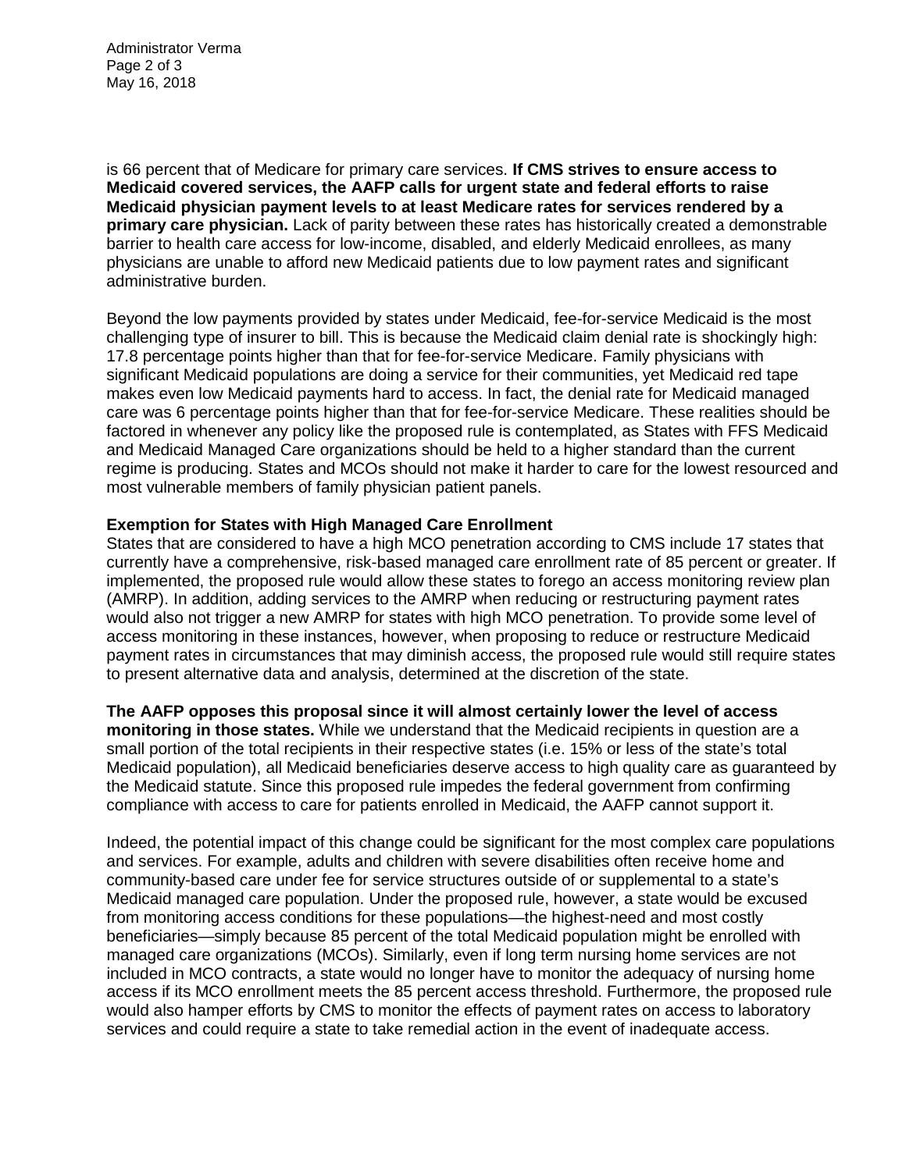Administrator Verma Page 2 of 3 May 16, 2018

is 66 percent that of Medicare for primary care services. **If CMS strives to ensure access to Medicaid covered services, the AAFP calls for urgent state and federal efforts to raise Medicaid physician payment levels to at least Medicare rates for services rendered by a primary care physician.** Lack of parity between these rates has historically created a demonstrable barrier to health care access for low-income, disabled, and elderly Medicaid enrollees, as many physicians are unable to afford new Medicaid patients due to low payment rates and significant administrative burden.

Beyond the low payments provided by states under Medicaid, fee-for-service Medicaid is the most challenging type of insurer to bill. This is because the Medicaid claim denial rate is shockingly high: 17.8 percentage points higher than that for fee-for-service Medicare. Family physicians with significant Medicaid populations are doing a service for their communities, yet Medicaid red tape makes even low Medicaid payments hard to access. In fact, the denial rate for Medicaid managed care was 6 percentage points higher than that for fee-for-service Medicare. These realities should be factored in whenever any policy like the proposed rule is contemplated, as States with FFS Medicaid and Medicaid Managed Care organizations should be held to a higher standard than the current regime is producing. States and MCOs should not make it harder to care for the lowest resourced and most vulnerable members of family physician patient panels.

## **Exemption for States with High Managed Care Enrollment**

States that are considered to have a high MCO penetration according to CMS include 17 states that currently have a comprehensive, risk-based managed care enrollment rate of 85 percent or greater. If implemented, the proposed rule would allow these states to forego an access monitoring review plan (AMRP). In addition, adding services to the AMRP when reducing or restructuring payment rates would also not trigger a new AMRP for states with high MCO penetration. To provide some level of access monitoring in these instances, however, when proposing to reduce or restructure Medicaid payment rates in circumstances that may diminish access, the proposed rule would still require states to present alternative data and analysis, determined at the discretion of the state.

**The AAFP opposes this proposal since it will almost certainly lower the level of access monitoring in those states.** While we understand that the Medicaid recipients in question are a small portion of the total recipients in their respective states (i.e. 15% or less of the state's total Medicaid population), all Medicaid beneficiaries deserve access to high quality care as guaranteed by the Medicaid statute. Since this proposed rule impedes the federal government from confirming compliance with access to care for patients enrolled in Medicaid, the AAFP cannot support it.

Indeed, the potential impact of this change could be significant for the most complex care populations and services. For example, adults and children with severe disabilities often receive home and community-based care under fee for service structures outside of or supplemental to a state's Medicaid managed care population. Under the proposed rule, however, a state would be excused from monitoring access conditions for these populations—the highest-need and most costly beneficiaries—simply because 85 percent of the total Medicaid population might be enrolled with managed care organizations (MCOs). Similarly, even if long term nursing home services are not included in MCO contracts, a state would no longer have to monitor the adequacy of nursing home access if its MCO enrollment meets the 85 percent access threshold. Furthermore, the proposed rule would also hamper efforts by CMS to monitor the effects of payment rates on access to laboratory services and could require a state to take remedial action in the event of inadequate access.